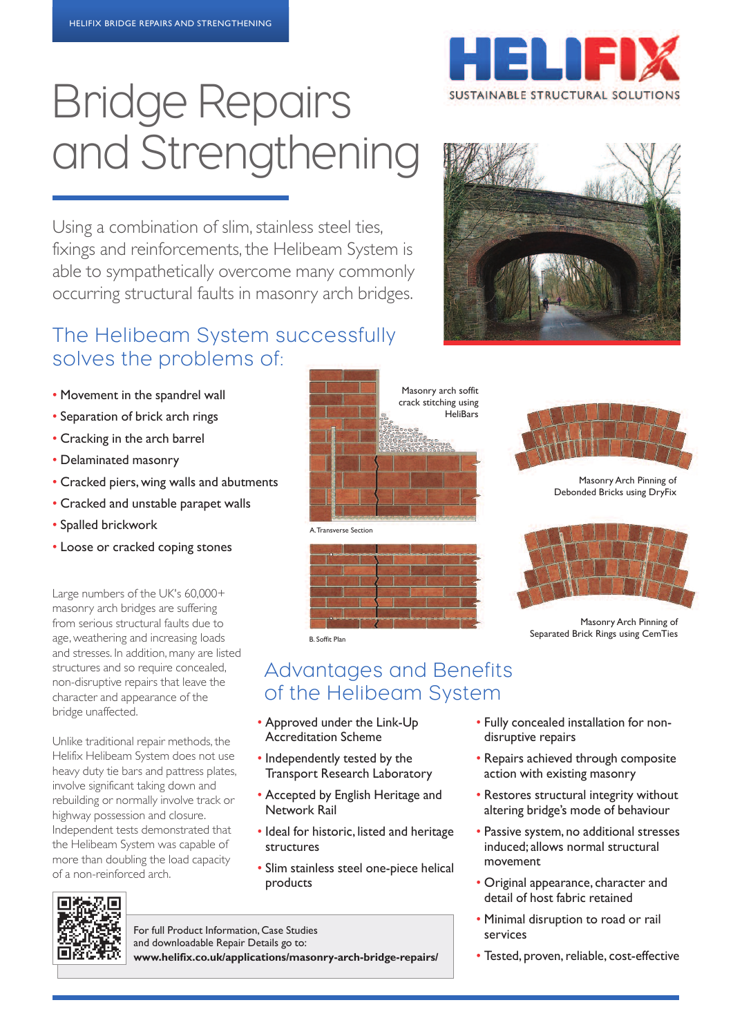# Bridge Repairs and Strengthening

Using a combination of slim, stainless steel ties, fixings and reinforcements, the Helibeam System is able to sympathetically overcome many commonly occurring structural faults in masonry arch bridges.

## The Helibeam System successfully solves the problems of:

- Movement in the spandrel wall
- Separation of brick arch rings
- Cracking in the arch barrel
- Delaminated masonry
- Cracked piers, wing walls and abutments
- Cracked and unstable parapet walls
- Spalled brickwork
- loose or cracked coping stones

Large numbers of the UK's 60,000+ masonry arch bridges are suffering from serious structural faults due to age, weathering and increasing loads and stresses. In addition, many are listed structures and so require concealed, non-disruptive repairs that leave the character and appearance of the bridge unaffected.

Unlike traditional repair methods, the Helifix Helibeam System does not use heavy duty tie bars and pattress plates, involve significant taking down and rebuilding or normally involve track or highway possession and closure. Independent tests demonstrated that the Helibeam System was capable of more than doubling the load capacity of a non-reinforced arch.







Masonry Arch Pinning of Debonded Bricks using DryFix



Masonry Arch Pinning of Separated Brick Rings using CemTies

Advantages and Benefits of the Helibeam System

• Approved under the link-Up Accreditation Scheme

B. Soffit Plan

- independently tested by the Transport Research laboratory
- Accepted by English Heritage and Network Rail
- ideal for historic, listed and heritage structures
- Slim stainless steel one-piece helical products
- fully concealed installation for nondisruptive repairs
- Repairs achieved through composite action with existing masonry
- Restores structural integrity without altering bridge's mode of behaviour
- Passive system, no additional stresses induced; allows normal structural movement
- Original appearance, character and detail of host fabric retained
- Minimal disruption to road or rail services
- Tested, proven, reliable, cost-effective



for full Product information, Case Studies and downloadable Repair Details go to: **www.helifix.co.uk/applications/masonry-arch-bridge-repairs/**